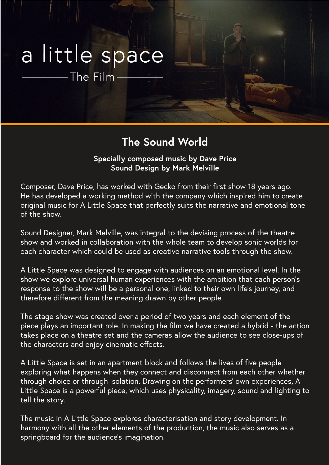## a little space

The Film

## **The Sound World**

**Specially composed music by Dave Price Sound Design by Mark Melville**

Composer, Dave Price, has worked with Gecko from their first show 18 years ago. He has developed a working method with the company which inspired him to create original music for A Little Space that perfectly suits the narrative and emotional tone of the show.

Sound Designer, Mark Melville, was integral to the devising process of the theatre show and worked in collaboration with the whole team to develop sonic worlds for each character which could be used as creative narrative tools through the show.

A Little Space was designed to engage with audiences on an emotional level. In the show we explore universal human experiences with the ambition that each person's response to the show will be a personal one, linked to their own life's journey, and therefore different from the meaning drawn by other people.

The stage show was created over a period of two years and each element of the piece plays an important role. In making the film we have created a hybrid - the action takes place on a theatre set and the cameras allow the audience to see close-ups of the characters and enjoy cinematic effects.

A Little Space is set in an apartment block and follows the lives of five people exploring what happens when they connect and disconnect from each other whether through choice or through isolation. Drawing on the performers' own experiences, A Little Space is a powerful piece, which uses physicality, imagery, sound and lighting to tell the story.

The music in A Little Space explores characterisation and story development. In harmony with all the other elements of the production, the music also serves as a springboard for the audience's imagination.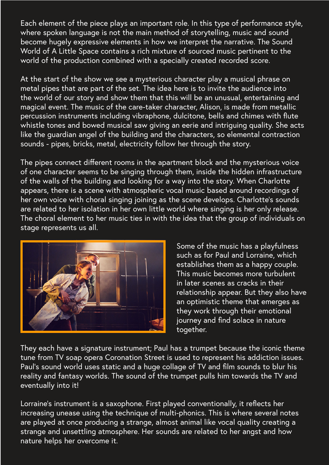Each element of the piece plays an important role. In this type of performance style, where spoken language is not the main method of storytelling, music and sound become hugely expressive elements in how we interpret the narrative. The Sound World of A Little Space contains a rich mixture of sourced music pertinent to the world of the production combined with a specially created recorded score.

At the start of the show we see a mysterious character play a musical phrase on metal pipes that are part of the set. The idea here is to invite the audience into the world of our story and show them that this will be an unusual, entertaining and magical event. The music of the care-taker character, Alison, is made from metallic percussion instruments including vibraphone, dulcitone, bells and chimes with flute whistle tones and bowed musical saw giving an eerie and intriguing quality. She acts like the guardian angel of the building and the characters, so elemental contraction sounds - pipes, bricks, metal, electricity follow her through the story.

The pipes connect different rooms in the apartment block and the mysterious voice of one character seems to be singing through them, inside the hidden infrastructure of the walls of the building and looking for a way into the story. When Charlotte appears, there is a scene with atmospheric vocal music based around recordings of her own voice with choral singing joining as the scene develops. Charlotte's sounds are related to her isolation in her own little world where singing is her only release. The choral element to her music ties in with the idea that the group of individuals on stage represents us all.



Some of the music has a playfulness such as for Paul and Lorraine, which establishes them as a happy couple. This music becomes more turbulent in later scenes as cracks in their relationship appear. But they also have an optimistic theme that emerges as they work through their emotional journey and find solace in nature together.

They each have a signature instrument; Paul has a trumpet because the iconic theme tune from TV soap opera Coronation Street is used to represent his addiction issues. Paul's sound world uses static and a huge collage of TV and film sounds to blur his reality and fantasy worlds. The sound of the trumpet pulls him towards the TV and eventually into it!

Lorraine's instrument is a saxophone. First played conventionally, it reflects her increasing unease using the technique of multi-phonics. This is where several notes are played at once producing a strange, almost animal like vocal quality creating a strange and unsettling atmosphere. Her sounds are related to her angst and how nature helps her overcome it.